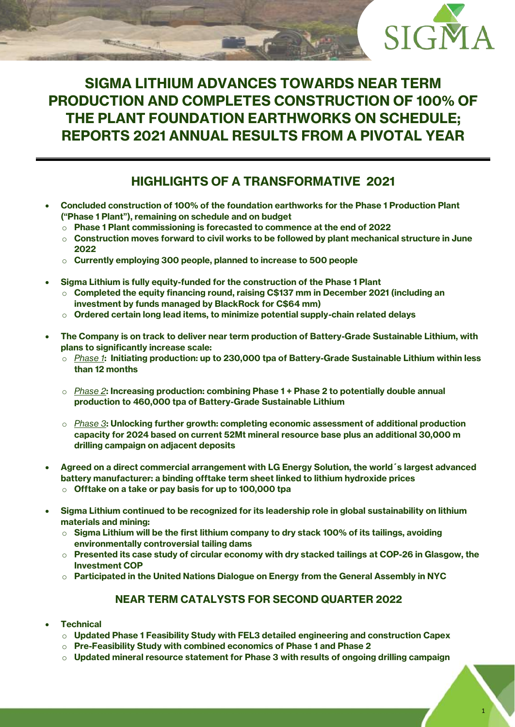

# **SIGMA LITHIUM ADVANCES TOWARDS NEAR TERM PRODUCTION AND COMPLETES CONSTRUCTION OF 100% OF THE PLANT FOUNDATION EARTHWORKS ON SCHEDULE; REPORTS 2021 ANNUAL RESULTS FROM A PIVOTAL YEAR**

# **HIGHLIGHTS OF A TRANSFORMATIVE 2021**

- **Concluded construction of 100% of the foundation earthworks for the Phase 1 Production Plant ("Phase 1 Plant"), remaining on schedule and on budget**
	- o **Phase 1 Plant commissioning is forecasted to commence at the end of 2022**
	- o **Construction moves forward to civil works to be followed by plant mechanical structure in June 2022**
	- o **Currently employing 300 people, planned to increase to 500 people**
- **Sigma Lithium is fully equity-funded for the construction of the Phase 1 Plant**
	- o **Completed the equity financing round, raising C\$137 mm in December 2021 (including an investment by funds managed by BlackRock for C\$64 mm)**
	- o **Ordered certain long lead items, to minimize potential supply-chain related delays**
- **The Company is on track to deliver near term production of Battery-Grade Sustainable Lithium, with plans to significantly increase scale:**
	- o *Phase 1***: Initiating production: up to 230,000 tpa of Battery-Grade Sustainable Lithium within less than 12 months**
	- o *Phase 2***: Increasing production: combining Phase 1 + Phase 2 to potentially double annual production to 460,000 tpa of Battery-Grade Sustainable Lithium**
	- o *Phase 3***: Unlocking further growth: completing economic assessment of additional production capacity for 2024 based on current 52Mt mineral resource base plus an additional 30,000 m drilling campaign on adjacent deposits**
- **Agreed on a direct commercial arrangement with LG Energy Solution, the world´s largest advanced battery manufacturer: a binding offtake term sheet linked to lithium hydroxide prices**
	- o **Offtake on a take or pay basis for up to 100,000 tpa**
- **Sigma Lithium continued to be recognized for its leadership role in global sustainability on lithium materials and mining:**
	- o **Sigma Lithium will be the first lithium company to dry stack 100% of its tailings, avoiding environmentally controversial tailing dams**
	- o **Presented its case study of circular economy with dry stacked tailings at COP-26 in Glasgow, the Investment COP**
	- o **Participated in the United Nations Dialogue on Energy from the General Assembly in NYC**

### **NEAR TERM CATALYSTS FOR SECOND QUARTER 2022**

- **Technical**
	- o **Updated Phase 1 Feasibility Study with FEL3 detailed engineering and construction Capex**
	- o **Pre-Feasibility Study with combined economics of Phase 1 and Phase 2**
	- o **Updated mineral resource statement for Phase 3 with results of ongoing drilling campaign**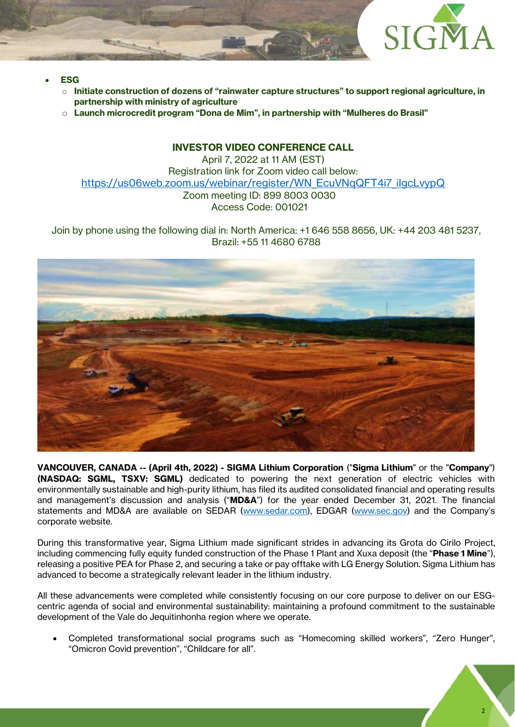

- **ESG** 
	- o **Initiate construction of dozens of "rainwater capture structures" to support regional agriculture, in partnership with ministry of agriculture**
	- o **Launch microcredit program "Dona de Mim", in partnership with "Mulheres do Brasil"**

### **INVESTOR VIDEO CONFERENCE CALL**

April 7, 2022 at 11 AM (EST) Registration link for Zoom video call below: [https://us06web.zoom.us/webinar/register/WN\\_EcuVNqQFT4i7\\_iIgcLvypQ](https://us06web.zoom.us/webinar/register/WN_EcuVNqQFT4i7_iIgcLvypQ) Zoom meeting ID: 899 8003 0030 Access Code: 001021

Join by phone using the following dial in: North America: +1 646 558 8656, UK: +44 203 481 5237, Brazil: +55 11 4680 6788



**VANCOUVER, CANADA -- (April 4th, 2022) - SIGMA Lithium Corporation** ("**Sigma Lithium**" or the "**Company**") **(NASDAQ: SGML, TSXV: SGML)** dedicated to powering the next generation of electric vehicles with environmentally sustainable and high-purity lithium, has filed its audited consolidated financial and operating results and management's discussion and analysis ("**MD&A**") for the year ended December 31, 2021. The financial statements and MD&A are available on SEDAR [\(www.sedar.com\)](http://www.sedar.com/), EDGAR [\(www.sec.gov\)](http://www.sec.gov/) and the Company's corporate website.

During this transformative year, Sigma Lithium made significant strides in advancing its Grota do Cirilo Project, including commencing fully equity funded construction of the Phase 1 Plant and Xuxa deposit (the "**Phase 1 Mine**"), releasing a positive PEA for Phase 2, and securing a take or pay offtake with LG Energy Solution. Sigma Lithium has advanced to become a strategically relevant leader in the lithium industry.

All these advancements were completed while consistently focusing on our core purpose to deliver on our ESGcentric agenda of social and environmental sustainability: maintaining a profound commitment to the sustainable development of the Vale do Jequitinhonha region where we operate.

• Completed transformational social programs such as "Homecoming skilled workers", "Zero Hunger", "Omicron Covid prevention", "Childcare for all".

2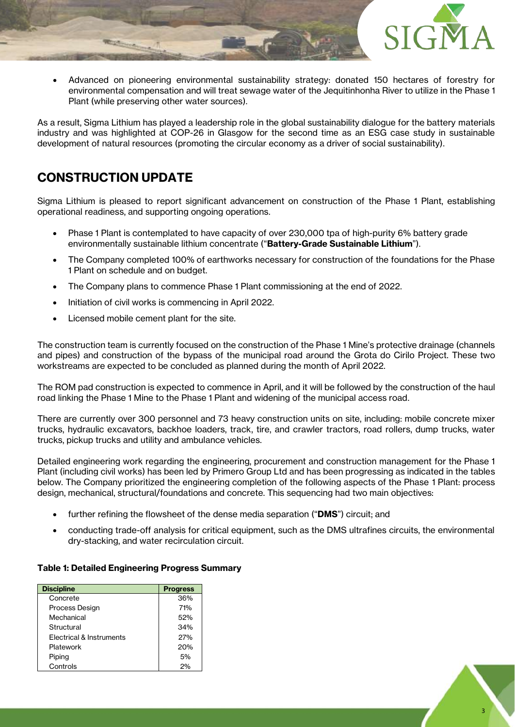

• Advanced on pioneering environmental sustainability strategy: donated 150 hectares of forestry for environmental compensation and will treat sewage water of the Jequitinhonha River to utilize in the Phase 1 Plant (while preserving other water sources).

As a result, Sigma Lithium has played a leadership role in the global sustainability dialogue for the battery materials industry and was highlighted at COP-26 in Glasgow for the second time as an ESG case study in sustainable development of natural resources (promoting the circular economy as a driver of social sustainability).

# **CONSTRUCTION UPDATE**

Sigma Lithium is pleased to report significant advancement on construction of the Phase 1 Plant, establishing operational readiness, and supporting ongoing operations.

- Phase 1 Plant is contemplated to have capacity of over 230,000 tpa of high-purity 6% battery grade environmentally sustainable lithium concentrate ("**Battery-Grade Sustainable Lithium**").
- The Company completed 100% of earthworks necessary for construction of the foundations for the Phase 1 Plant on schedule and on budget.
- The Company plans to commence Phase 1 Plant commissioning at the end of 2022.
- Initiation of civil works is commencing in April 2022.
- Licensed mobile cement plant for the site.

The construction team is currently focused on the construction of the Phase 1 Mine's protective drainage (channels and pipes) and construction of the bypass of the municipal road around the Grota do Cirilo Project. These two workstreams are expected to be concluded as planned during the month of April 2022.

The ROM pad construction is expected to commence in April, and it will be followed by the construction of the haul road linking the Phase 1 Mine to the Phase 1 Plant and widening of the municipal access road.

There are currently over 300 personnel and 73 heavy construction units on site, including: mobile concrete mixer trucks, hydraulic excavators, backhoe loaders, track, tire, and crawler tractors, road rollers, dump trucks, water trucks, pickup trucks and utility and ambulance vehicles.

Detailed engineering work regarding the engineering, procurement and construction management for the Phase 1 Plant (including civil works) has been led by Primero Group Ltd and has been progressing as indicated in the tables below. The Company prioritized the engineering completion of the following aspects of the Phase 1 Plant: process design, mechanical, structural/foundations and concrete. This sequencing had two main objectives:

- further refining the flowsheet of the dense media separation ("**DMS**") circuit; and
- conducting trade-off analysis for critical equipment, such as the DMS ultrafines circuits, the environmental dry-stacking, and water recirculation circuit.

#### **Table 1: Detailed Engineering Progress Summary**

| <b>Discipline</b>        | <b>Progress</b> |
|--------------------------|-----------------|
| Concrete                 | 36%             |
| Process Design           | 71%             |
| Mechanical               | 52%             |
| Structural               | 34%             |
| Electrical & Instruments | 27%             |
| Platework                | 20%             |
| Piping                   | 5%              |
| Controls                 | 2%              |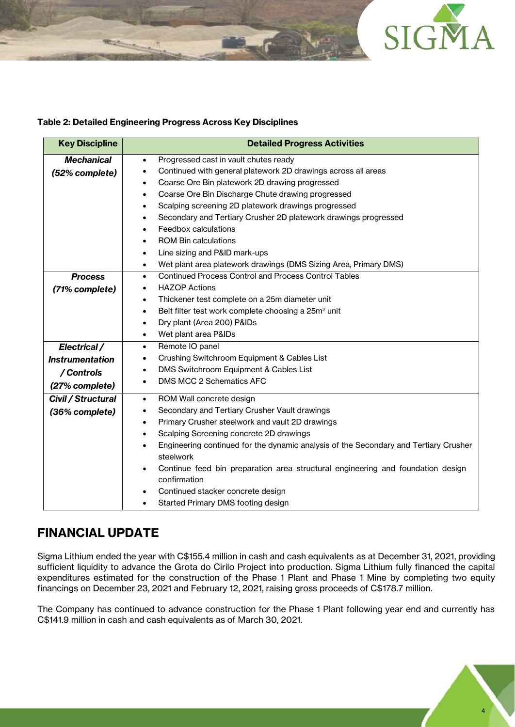

#### **Table 2: Detailed Engineering Progress Across Key Disciplines**

| <b>Key Discipline</b>  | <b>Detailed Progress Activities</b>                                                               |
|------------------------|---------------------------------------------------------------------------------------------------|
| <b>Mechanical</b>      | Progressed cast in vault chutes ready<br>$\bullet$                                                |
| (52% complete)         | Continued with general platework 2D drawings across all areas<br>٠                                |
|                        | Coarse Ore Bin platework 2D drawing progressed<br>$\bullet$                                       |
|                        | Coarse Ore Bin Discharge Chute drawing progressed<br>$\bullet$                                    |
|                        | Scalping screening 2D platework drawings progressed<br>٠                                          |
|                        | Secondary and Tertiary Crusher 2D platework drawings progressed<br>٠                              |
|                        | Feedbox calculations<br>$\bullet$                                                                 |
|                        | <b>ROM Bin calculations</b><br>٠                                                                  |
|                        | Line sizing and P&ID mark-ups<br>٠                                                                |
|                        | Wet plant area platework drawings (DMS Sizing Area, Primary DMS)<br>$\bullet$                     |
| <b>Process</b>         | <b>Continued Process Control and Process Control Tables</b><br>$\bullet$                          |
| (71% complete)         | <b>HAZOP Actions</b><br>$\bullet$                                                                 |
|                        | Thickener test complete on a 25m diameter unit<br>$\bullet$                                       |
|                        | Belt filter test work complete choosing a 25m <sup>2</sup> unit<br>$\bullet$                      |
|                        | Dry plant (Area 200) P&IDs<br>$\bullet$                                                           |
|                        | Wet plant area P&IDs<br>$\bullet$                                                                 |
| Electrical /           | Remote IO panel<br>$\bullet$                                                                      |
| <b>Instrumentation</b> | Crushing Switchroom Equipment & Cables List<br>$\bullet$                                          |
| / Controls             | DMS Switchroom Equipment & Cables List<br>$\bullet$                                               |
| (27% complete)         | DMS MCC 2 Schematics AFC<br>$\bullet$                                                             |
| Civil / Structural     | ROM Wall concrete design<br>$\bullet$                                                             |
| (36% complete)         | Secondary and Tertiary Crusher Vault drawings<br>$\bullet$                                        |
|                        | Primary Crusher steelwork and vault 2D drawings<br>$\bullet$                                      |
|                        | Scalping Screening concrete 2D drawings<br>$\bullet$                                              |
|                        | Engineering continued for the dynamic analysis of the Secondary and Tertiary Crusher<br>$\bullet$ |
|                        | steelwork                                                                                         |
|                        | Continue feed bin preparation area structural engineering and foundation design<br>٠              |
|                        | confirmation                                                                                      |
|                        | Continued stacker concrete design<br>$\bullet$                                                    |
|                        | Started Primary DMS footing design                                                                |

# **FINANCIAL UPDATE**

Sigma Lithium ended the year with C\$155.4 million in cash and cash equivalents as at December 31, 2021, providing sufficient liquidity to advance the Grota do Cirilo Project into production. Sigma Lithium fully financed the capital expenditures estimated for the construction of the Phase 1 Plant and Phase 1 Mine by completing two equity financings on December 23, 2021 and February 12, 2021, raising gross proceeds of C\$178.7 million.

The Company has continued to advance construction for the Phase 1 Plant following year end and currently has C\$141.9 million in cash and cash equivalents as of March 30, 2021.

4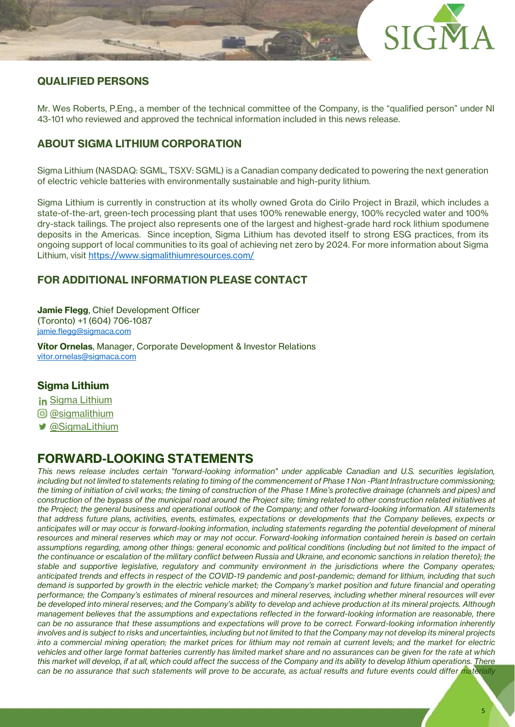

## **QUALIFIED PERSONS**

Mr. Wes Roberts, P.Eng., a member of the technical committee of the Company, is the "qualified person" under NI 43-101 who reviewed and approved the technical information included in this news release.

# **ABOUT SIGMA LITHIUM CORPORATION**

Sigma Lithium (NASDAQ: SGML, TSXV: SGML) is a Canadian company dedicated to powering the next generation of electric vehicle batteries with environmentally sustainable and high-purity lithium.

Sigma Lithium is currently in construction at its wholly owned Grota do Cirilo Project in Brazil, which includes a state-of-the-art, green-tech processing plant that uses 100% renewable energy, 100% recycled water and 100% dry-stack tailings. The project also represents one of the largest and highest-grade hard rock lithium spodumene deposits in the Americas. Since inception, Sigma Lithium has devoted itself to strong ESG practices, from its ongoing support of local communities to its goal of achieving net zero by 2024. For more information about Sigma Lithium, visit<https://www.sigmalithiumresources.com/>

## **FOR ADDITIONAL INFORMATION PLEASE CONTACT**

**Jamie Flegg**, Chief Development Officer (Toronto) +1 (604) 706-1087 [jamie.flegg@sigmaca.com](mailto:jamie.flegg@sigmaca.com)

**Vítor Ornelas**, Manager, Corporate Development & Investor Relations [vitor.ornelas@sigmaca.com](mailto:vitor.ornelas@sigmaca.com)

### **Sigma Lithium**

- in [Sigma Lithium](https://www.linkedin.com/company/sigma-lithium-resources)
- **@** [@sigmalithium](https://www.instagram.com/sigmalithium/)
- [@SigmaLithium](https://twitter.com/SigmaLithium)

# **FORWARD-LOOKING STATEMENTS**

*This news release includes certain "forward-looking information" under applicable Canadian and U.S. securities legislation, including but not limited to statements relating to timing of the commencement of Phase 1 Non -Plant Infrastructure commissioning; the timing of initiation of civil works; the timing of construction of the Phase 1 Mine's protective drainage (channels and pipes) and construction of the bypass of the municipal road around the Project site; timing related to other construction related initiatives at the Project; the general business and operational outlook of the Company; and other forward-looking information. All statements that address future plans, activities, events, estimates, expectations or developments that the Company believes, expects or anticipates will or may occur is forward-looking information, including statements regarding the potential development of mineral resources and mineral reserves which may or may not occur. Forward-looking information contained herein is based on certain assumptions regarding, among other things: general economic and political conditions (including but not limited to the impact of the continuance or escalation of the military conflict between Russia and Ukraine, and economic sanctions in relation thereto); the stable and supportive legislative, regulatory and community environment in the jurisdictions where the Company operates; anticipated trends and effects in respect of the COVID-19 pandemic and post-pandemic; demand for lithium, including that such demand is supported by growth in the electric vehicle market; the Company's market position and future financial and operating performance; the Company's estimates of mineral resources and mineral reserves, including whether mineral resources will ever be developed into mineral reserves; and the Company's ability to develop and achieve production at its mineral projects. Although management believes that the assumptions and expectations reflected in the forward-looking information are reasonable, there can be no assurance that these assumptions and expectations will prove to be correct. Forward-looking information inherently involves and is subject to risks and uncertainties, including but not limited to that the Company may not develop its mineral projects into a commercial mining operation; the market prices for lithium may not remain at current levels; and the market for electric vehicles and other large format batteries currently has limited market share and no assurances can be given for the rate at which this market will develop, if at all, which could affect the success of the Company and its ability to develop lithium operations. There can be no assurance that such statements will prove to be accurate, as actual results and future events could differ materially*